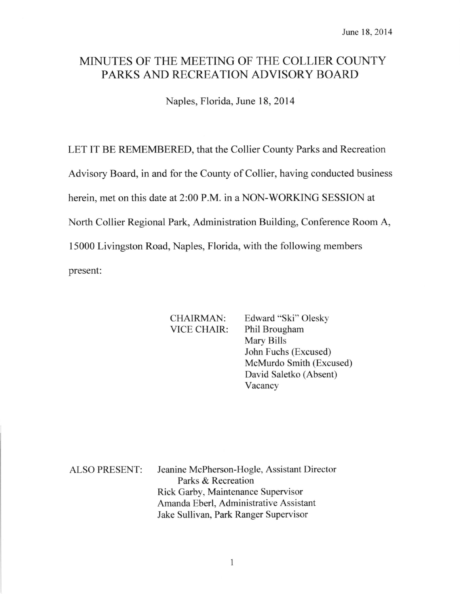# MINUTES OF THE MEETING OF THE COLLIER COUNTY PARKS AND RECREATION ADVISORY BOARD

Naples, Florida, June 18,2014

LET IT BE REMEMBERED, that the Collier County Parks and Recreation

Advisory Board, in and for the County of Collier, having conducted business

herein, met on this date at 2:00 P.M. in a NON-WORKING SESSION at

North Collier Regional Park, Administration Building, Conference Room A,

15000 Livingston Road, Naples, Florida, with the following members

present:

CHAIRMAN: Edward "Ski" Olesky VICE CHAIR: Phil Brougham Mary Bills John Fuchs (Excused) McMurdo Smith (Excused) David Saletko (Absent) Vacancy

ALSO PRESENT: Jeanine McPherson-Hogle, Assistant Director Parks & Recreation Rick Garby, Maintenance Supervisor Amanda Eberl, Administrative Assistant Jake Sullivan, Park Ranger Supervisor